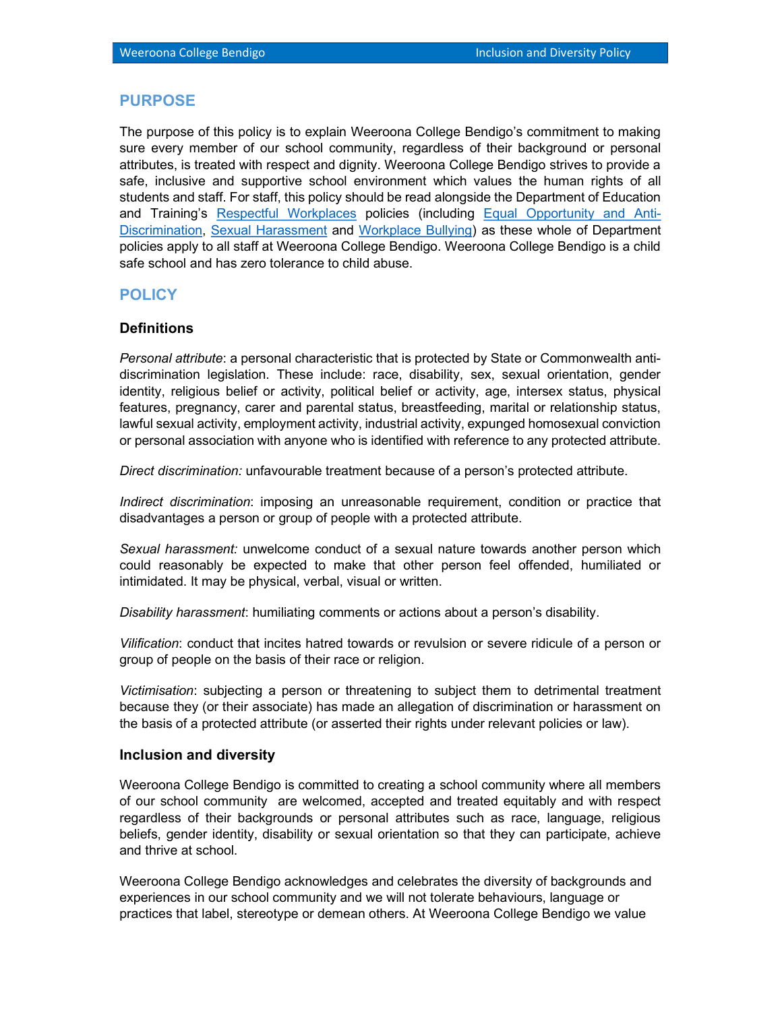### PURPOSE

The purpose of this policy is to explain Weeroona College Bendigo's commitment to making sure every member of our school community, regardless of their background or personal attributes, is treated with respect and dignity. Weeroona College Bendigo strives to provide a safe, inclusive and supportive school environment which values the human rights of all students and staff. For staff, this policy should be read alongside the Department of Education and Training's Respectful Workplaces policies (including Equal Opportunity and Anti-Discrimination, Sexual Harassment and Workplace Bullying) as these whole of Department policies apply to all staff at Weeroona College Bendigo. Weeroona College Bendigo is a child safe school and has zero tolerance to child abuse.

# **POLICY**

### **Definitions**

Personal attribute: a personal characteristic that is protected by State or Commonwealth antidiscrimination legislation. These include: race, disability, sex, sexual orientation, gender identity, religious belief or activity, political belief or activity, age, intersex status, physical features, pregnancy, carer and parental status, breastfeeding, marital or relationship status, lawful sexual activity, employment activity, industrial activity, expunged homosexual conviction or personal association with anyone who is identified with reference to any protected attribute.

Direct discrimination: unfavourable treatment because of a person's protected attribute.

Indirect discrimination: imposing an unreasonable requirement, condition or practice that disadvantages a person or group of people with a protected attribute.

Sexual harassment: unwelcome conduct of a sexual nature towards another person which could reasonably be expected to make that other person feel offended, humiliated or intimidated. It may be physical, verbal, visual or written.

Disability harassment: humiliating comments or actions about a person's disability.

Vilification: conduct that incites hatred towards or revulsion or severe ridicule of a person or group of people on the basis of their race or religion.

Victimisation: subjecting a person or threatening to subject them to detrimental treatment because they (or their associate) has made an allegation of discrimination or harassment on the basis of a protected attribute (or asserted their rights under relevant policies or law).

#### Inclusion and diversity

Weeroona College Bendigo is committed to creating a school community where all members of our school community are welcomed, accepted and treated equitably and with respect regardless of their backgrounds or personal attributes such as race, language, religious beliefs, gender identity, disability or sexual orientation so that they can participate, achieve and thrive at school.

Weeroona College Bendigo acknowledges and celebrates the diversity of backgrounds and experiences in our school community and we will not tolerate behaviours, language or practices that label, stereotype or demean others. At Weeroona College Bendigo we value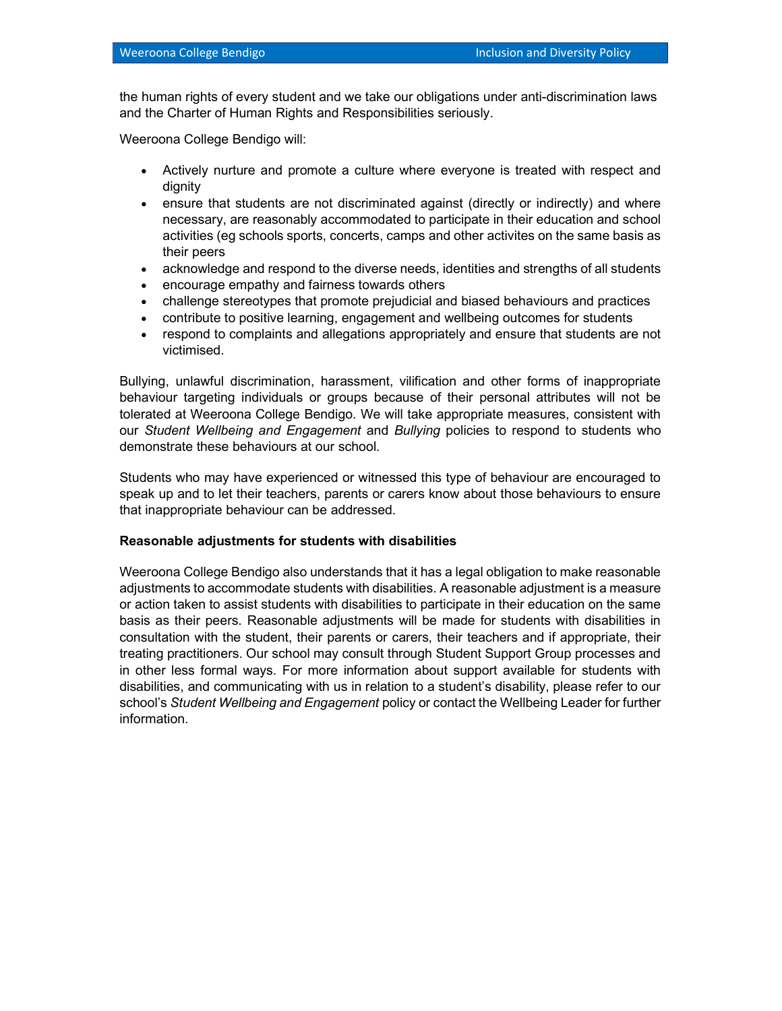the human rights of every student and we take our obligations under anti-discrimination laws and the Charter of Human Rights and Responsibilities seriously.

Weeroona College Bendigo will:

- Actively nurture and promote a culture where everyone is treated with respect and dignity
- ensure that students are not discriminated against (directly or indirectly) and where necessary, are reasonably accommodated to participate in their education and school activities (eg schools sports, concerts, camps and other activites on the same basis as their peers
- acknowledge and respond to the diverse needs, identities and strengths of all students
- encourage empathy and fairness towards others
- challenge stereotypes that promote prejudicial and biased behaviours and practices
- contribute to positive learning, engagement and wellbeing outcomes for students
- respond to complaints and allegations appropriately and ensure that students are not victimised.

Bullying, unlawful discrimination, harassment, vilification and other forms of inappropriate behaviour targeting individuals or groups because of their personal attributes will not be tolerated at Weeroona College Bendigo. We will take appropriate measures, consistent with our Student Wellbeing and Engagement and Bullying policies to respond to students who demonstrate these behaviours at our school.

Students who may have experienced or witnessed this type of behaviour are encouraged to speak up and to let their teachers, parents or carers know about those behaviours to ensure that inappropriate behaviour can be addressed.

#### Reasonable adjustments for students with disabilities

Weeroona College Bendigo also understands that it has a legal obligation to make reasonable adjustments to accommodate students with disabilities. A reasonable adjustment is a measure or action taken to assist students with disabilities to participate in their education on the same basis as their peers. Reasonable adjustments will be made for students with disabilities in consultation with the student, their parents or carers, their teachers and if appropriate, their treating practitioners. Our school may consult through Student Support Group processes and in other less formal ways. For more information about support available for students with disabilities, and communicating with us in relation to a student's disability, please refer to our school's Student Wellbeing and Engagement policy or contact the Wellbeing Leader for further information.